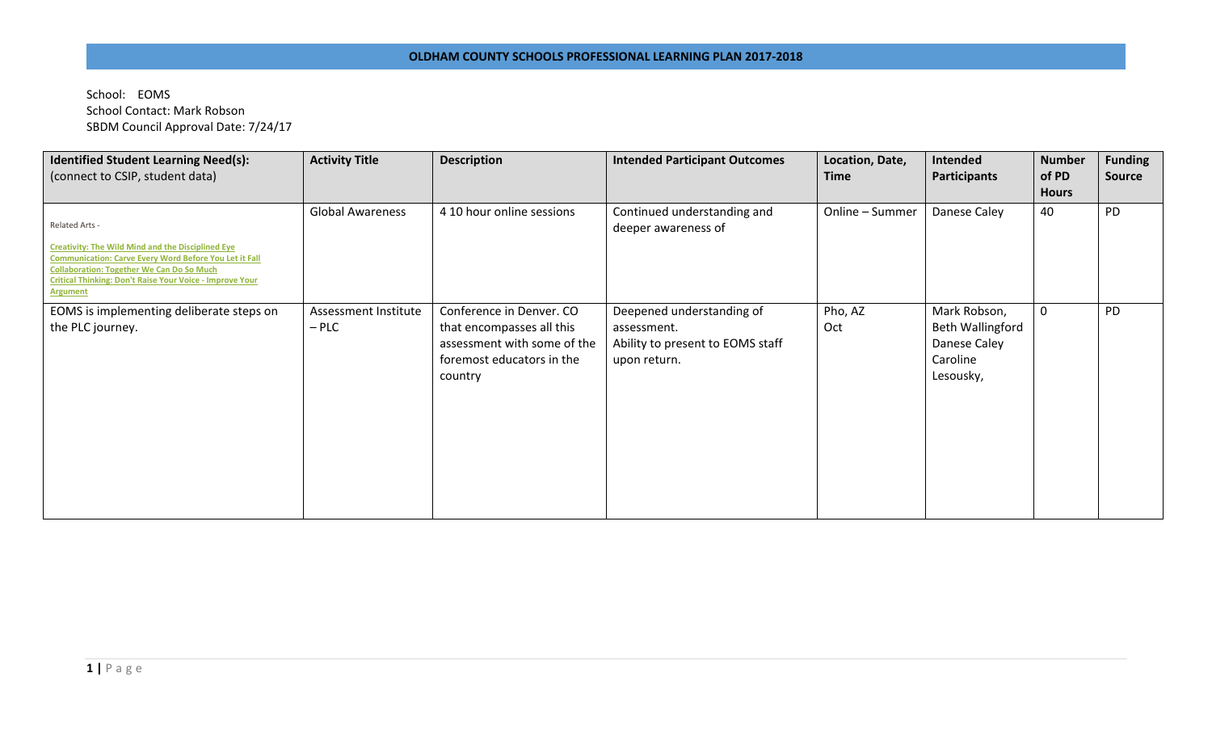School: EOMS School Contact: Mark Robson SBDM Council Approval Date: 7/24/17

| <b>Identified Student Learning Need(s):</b><br>(connect to CSIP, student data)                                                                                                                                                                                          | <b>Activity Title</b>           | <b>Description</b>                                                                                                           | <b>Intended Participant Outcomes</b>                                                         | Location, Date,<br><b>Time</b> | Intended<br><b>Participants</b>                                           | <b>Number</b><br>of PD<br><b>Hours</b> | <b>Funding</b><br><b>Source</b> |
|-------------------------------------------------------------------------------------------------------------------------------------------------------------------------------------------------------------------------------------------------------------------------|---------------------------------|------------------------------------------------------------------------------------------------------------------------------|----------------------------------------------------------------------------------------------|--------------------------------|---------------------------------------------------------------------------|----------------------------------------|---------------------------------|
| Related Arts -<br>Creativity: The Wild Mind and the Disciplined Eye<br><b>Communication: Carve Every Word Before You Let it Fall</b><br><b>Collaboration: Together We Can Do So Much</b><br>Critical Thinking: Don't Raise Your Voice - Improve Your<br><b>Argument</b> | <b>Global Awareness</b>         | 4 10 hour online sessions                                                                                                    | Continued understanding and<br>deeper awareness of                                           | Online - Summer                | Danese Caley                                                              | 40                                     | PD                              |
| EOMS is implementing deliberate steps on<br>the PLC journey.                                                                                                                                                                                                            | Assessment Institute<br>$-$ PLC | Conference in Denver. CO<br>that encompasses all this<br>assessment with some of the<br>foremost educators in the<br>country | Deepened understanding of<br>assessment.<br>Ability to present to EOMS staff<br>upon return. | Pho, AZ<br>Oct                 | Mark Robson,<br>Beth Wallingford<br>Danese Caley<br>Caroline<br>Lesousky, | $\mathbf{0}$                           | PD                              |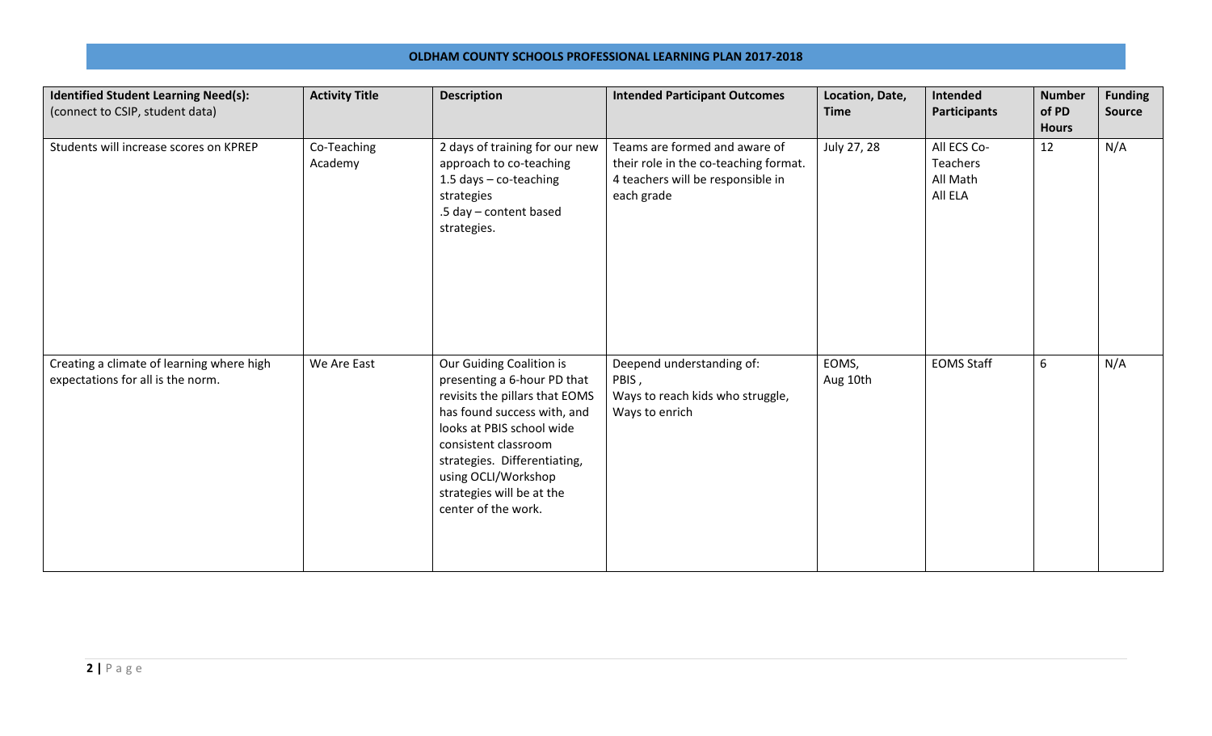## **OLDHAM COUNTY SCHOOLS PROFESSIONAL LEARNING PLAN 2017-2018**

| <b>Identified Student Learning Need(s):</b><br>(connect to CSIP, student data) | <b>Activity Title</b>  | <b>Description</b>                                                                                                                                                                                                                                                                       | <b>Intended Participant Outcomes</b>                                                                                      | Location, Date,<br><b>Time</b> | Intended<br><b>Participants</b>                | <b>Number</b><br>of PD<br><b>Hours</b> | <b>Funding</b><br><b>Source</b> |
|--------------------------------------------------------------------------------|------------------------|------------------------------------------------------------------------------------------------------------------------------------------------------------------------------------------------------------------------------------------------------------------------------------------|---------------------------------------------------------------------------------------------------------------------------|--------------------------------|------------------------------------------------|----------------------------------------|---------------------------------|
| Students will increase scores on KPREP                                         | Co-Teaching<br>Academy | 2 days of training for our new<br>approach to co-teaching<br>1.5 days - co-teaching<br>strategies<br>.5 day - content based<br>strategies.                                                                                                                                               | Teams are formed and aware of<br>their role in the co-teaching format.<br>4 teachers will be responsible in<br>each grade | July 27, 28                    | All ECS Co-<br>Teachers<br>All Math<br>All ELA | 12                                     | N/A                             |
| Creating a climate of learning where high<br>expectations for all is the norm. | We Are East            | Our Guiding Coalition is<br>presenting a 6-hour PD that<br>revisits the pillars that EOMS<br>has found success with, and<br>looks at PBIS school wide<br>consistent classroom<br>strategies. Differentiating,<br>using OCLI/Workshop<br>strategies will be at the<br>center of the work. | Deepend understanding of:<br>PBIS,<br>Ways to reach kids who struggle,<br>Ways to enrich                                  | EOMS,<br>Aug 10th              | <b>EOMS Staff</b>                              | 6                                      | N/A                             |